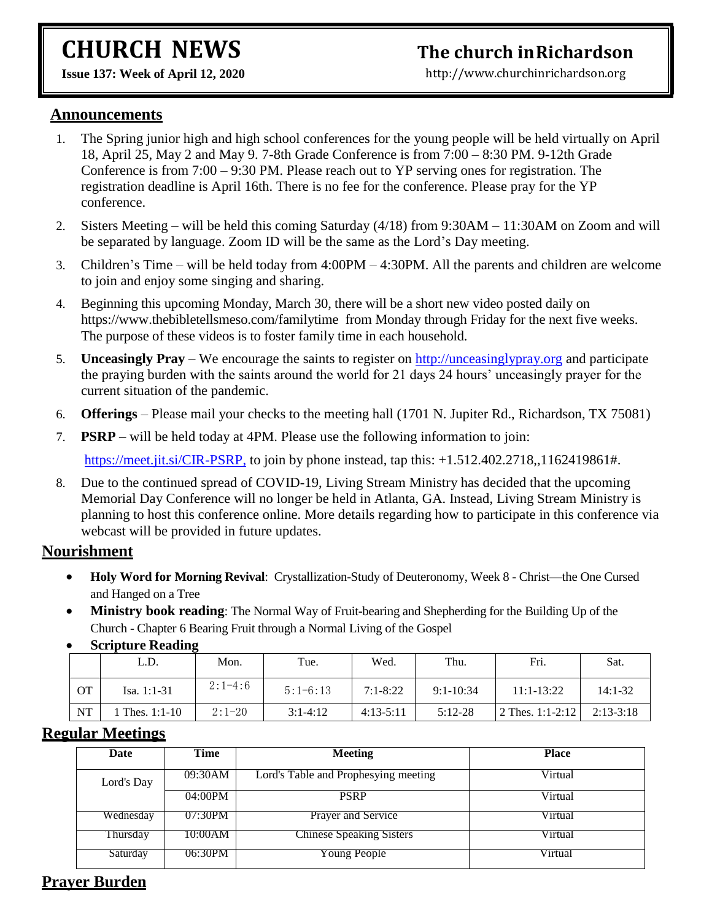# **CHURCH NEWS**

## **The church inRichardson**

[http://www.churchinrichardson.org](http://www.churchinrichardson.org/)

**Issue 137: Week of April 12, 2020** 

#### **Announcements**

- 1. The Spring junior high and high school conferences for the young people will be held virtually on April 18, April 25, May 2 and May 9. 7-8th Grade Conference is from 7:00 – 8:30 PM. 9-12th Grade Conference is from 7:00 – 9:30 PM. Please reach out to YP serving ones for registration. The registration deadline is April 16th. There is no fee for the conference. Please pray for the YP conference.
- 2. Sisters Meeting will be held this coming Saturday (4/18) from 9:30AM 11:30AM on Zoom and will be separated by language. Zoom ID will be the same as the Lord's Day meeting.
- 3. Children's Time will be held today from 4:00PM 4:30PM. All the parents and children are welcome to join and enjoy some singing and sharing.
- 4. Beginning this upcoming Monday, March 30, there will be a short new video posted daily on https://www.thebibletellsmeso.com/familytime from Monday through Friday for the next five weeks. The purpose of these videos is to foster family time in each household.
- 5. **Unceasingly Pray**  We encourage the saints to register on [http://unceasinglypray.org](http://unceasinglypray.org/) and participate the praying burden with the saints around the world for 21 days 24 hours' unceasingly prayer for the current situation of the pandemic.
- 6. **Offerings** Please mail your checks to the meeting hall (1701 N. Jupiter Rd., Richardson, TX 75081)
- 7. **PSRP** will be held today at 4PM. Please use the following information to join:

<https://meet.jit.si/CIR-PSRP,> to join by phone instead, tap this: +1.512.402.2718,,1162419861#.

8. Due to the continued spread of COVID-19, Living Stream Ministry has decided that the upcoming Memorial Day Conference will no longer be held in Atlanta, GA. Instead, Living Stream Ministry is planning to host this conference online. More details regarding how to participate in this conference via webcast will be provided in future updates.

#### **Nourishment**

- **Holy Word for Morning Revival:** Crystallization-Study of Deuteronomy, Week 8 Christ—the One Cursed and Hanged on a Tree
- **Ministry book reading**: The Normal Way of Fruit-bearing and Shepherding for the Building Up of the Church - Chapter 6 Bearing Fruit through a Normal Living of the Gospel

|           | L.D.           | Mon.      | Tue.       | Wed.         | Thu.          | Fri.             | Sat.        |
|-----------|----------------|-----------|------------|--------------|---------------|------------------|-------------|
| OТ        | Isa. $1:1-31$  | $2:1-4:6$ | $5:1-6:13$ | $7:1 - 8:22$ | $9:1 - 10:34$ | $11:1-13:22$     | $14:1-32$   |
| <b>NT</b> | 1 Thes. 1:1-10 | $2:1-20$  | $3:1-4:12$ | $4:13-5:11$  | $5:12-28$     | 2 Thes. 1:1-2:12 | $2:13-3:18$ |

**Scripture Reading**

#### **Regular Meetings**

| Date       | Time    | <b>Meeting</b>                       | <b>Place</b> |
|------------|---------|--------------------------------------|--------------|
| Lord's Day | 09:30AM | Lord's Table and Prophesying meeting | Virtual      |
|            | 04:00PM | <b>PSRP</b>                          | Virtual      |
| Wednesday  | 07:30PM | Prayer and Service                   | Virtual      |
| Thursday   | 10:00AM | <b>Chinese Speaking Sisters</b>      | Virtual      |
| Saturday   | 06:30PM | Young People                         | Virtual      |

### **Prayer Burden**